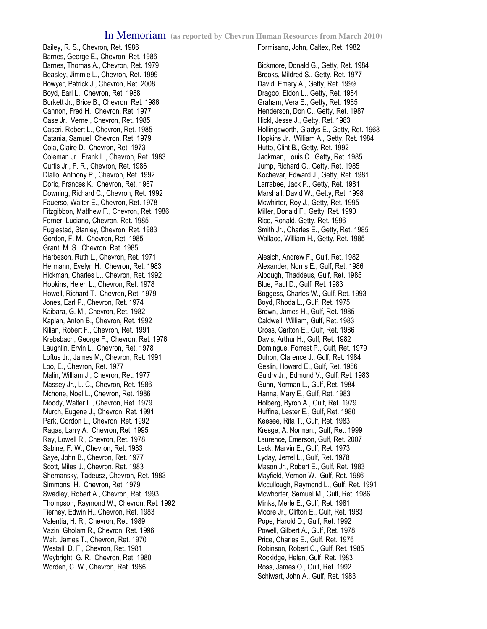Bailey, R. S., Chevron, Ret. 1986 Barnes, George E., Chevron, Ret. 1986 Barnes, Thomas A., Chevron, Ret. 1979 Beasley, Jimmie L., Chevron, Ret. 1999 Bowyer, Patrick J., Chevron, Ret. 2008 Boyd, Earl L., Chevron, Ret. 1988 Burkett Jr., Brice B., Chevron, Ret. 1986 Cannon, Fred H., Chevron, Ret. 1977 Case Jr., Verne., Chevron, Ret. 1985 Caseri, Robert L., Chevron, Ret. 1985 Catania, Samuel, Chevron, Ret. 1979 Cola, Claire D., Chevron, Ret. 1973 Coleman Jr., Frank L., Chevron, Ret. 1983 Curtis Jr., F. R., Chevron, Ret. 1986 Dlallo, Anthony P., Chevron, Ret. 1992 Doric, Frances K., Chevron, Ret. 1967 Downing, Richard C., Chevron, Ret. 1992 Fauerso, Walter E., Chevron, Ret. 1978 Fitzgibbon, Matthew F., Chevron, Ret. 1986 Forner, Luciano, Chevron, Ret. 1985 Fuglestad, Stanley, Chevron, Ret. 1983 Gordon, F. M., Chevron, Ret. 1985 Grant, M. S., Chevron, Ret. 1985 Harbeson, Ruth L., Chevron, Ret. 1971 Hermann, Evelyn H., Chevron, Ret. 1983 Hickman, Charles L., Chevron, Ret. 1992 Hopkins, Helen L., Chevron, Ret. 1978 Howell, Richard T., Chevron, Ret. 1979 Jones, Earl P., Chevron, Ret. 1974 Kaibara, G. M., Chevron, Ret. 1982 Kaplan, Anton B., Chevron, Ret. 1992 Kilian, Robert F., Chevron, Ret. 1991 Krebsbach, George F., Chevron, Ret. 1976 Laughlin, Ervin L., Chevron, Ret. 1978 Loftus Jr., James M., Chevron, Ret. 1991 Loo, E., Chevron, Ret. 1977 Malin, William J., Chevron, Ret. 1977 Massey Jr., L. C., Chevron, Ret. 1986 Mchone, Noel L., Chevron, Ret. 1986 Moody, Walter L., Chevron, Ret. 1979 Murch, Eugene J., Chevron, Ret. 1991 Park, Gordon L., Chevron, Ret. 1992 Ragas, Larry A., Chevron, Ret. 1995 Ray, Lowell R., Chevron, Ret. 1978 Sabine, F. W., Chevron, Ret. 1983 Saye, John B., Chevron, Ret. 1977 Scott, Miles J., Chevron, Ret. 1983 Shemansky, Tadeusz, Chevron, Ret. 1983 Simmons, H., Chevron, Ret. 1979 Swadley, Robert A., Chevron, Ret. 1993 Thompson, Raymond W., Chevron, Ret. 1992 Tierney, Edwin H., Chevron, Ret. 1983 Valentia, H. R., Chevron, Ret. 1989 Vazin, Gholam R., Chevron, Ret. 1996 Wait, James T., Chevron, Ret. 1970 Westall, D. F., Chevron, Ret. 1981 Weybright, G. R., Chevron, Ret. 1980 Worden, C. W., Chevron, Ret. 1986

## Formisano, John, Caltex, Ret. 1982,

Bickmore, Donald G., Getty, Ret. 1984 Brooks, Mildred S., Getty, Ret. 1977 David, Emery A., Getty, Ret. 1999 Dragoo, Eldon L., Getty, Ret. 1984 Graham, Vera E., Getty, Ret. 1985 Henderson, Don C., Getty, Ret. 1987 Hickl, Jesse J., Getty, Ret. 1983 Hollingsworth, Gladys E., Getty, Ret. 1968 Hopkins Jr., William A., Getty, Ret. 1984 Hutto, Clint B., Getty, Ret. 1992 Jackman, Louis C., Getty, Ret. 1985 Jump, Richard G., Getty, Ret. 1985 Kochevar, Edward J., Getty, Ret. 1981 Larrabee, Jack P., Getty, Ret. 1981 Marshall, David W., Getty, Ret. 1998 Mcwhirter, Roy J., Getty, Ret. 1995 Miller, Donald F., Getty, Ret. 1990 Rice, Ronald, Getty, Ret. 1996 Smith Jr., Charles E., Getty, Ret. 1985 Wallace, William H., Getty, Ret. 1985

Alesich, Andrew F., Gulf, Ret. 1982 Alexander, Norris E., Gulf, Ret. 1986 Alpough, Thaddeus, Gulf, Ret. 1985 Blue, Paul D., Gulf, Ret. 1983 Boggess, Charles W., Gulf, Ret. 1993 Boyd, Rhoda L., Gulf, Ret. 1975 Brown, James H., Gulf, Ret. 1985 Caldwell, William, Gulf, Ret. 1983 Cross, Carlton E., Gulf, Ret. 1986 Davis, Arthur H., Gulf, Ret. 1982 Domingue, Forrest P., Gulf, Ret. 1979 Duhon, Clarence J., Gulf, Ret. 1984 Geslin, Howard E., Gulf, Ret. 1986 Guidry Jr., Edmund V., Gulf, Ret. 1983 Gunn, Norman L., Gulf, Ret. 1984 Hanna, Mary E., Gulf, Ret. 1983 Holberg, Byron A., Gulf, Ret. 1979 Huffine, Lester E., Gulf, Ret. 1980 Keesee, Rita T., Gulf, Ret. 1983 Kresge, A. Norman., Gulf, Ret. 1999 Laurence, Emerson, Gulf, Ret. 2007 Leck, Marvin E., Gulf, Ret. 1973 Lyday, Jerrel L., Gulf, Ret. 1978 Mason Jr., Robert E., Gulf, Ret. 1983 Mayfield, Vernon W., Gulf, Ret. 1986 Mccullough, Raymond L., Gulf, Ret. 1991 Mcwhorter, Samuel M., Gulf, Ret. 1986 Minks, Merle E., Gulf, Ret. 1981 Moore Jr., Clifton E., Gulf, Ret. 1983 Pope, Harold D., Gulf, Ret. 1992 Powell, Gilbert A., Gulf, Ret. 1978 Price, Charles E., Gulf, Ret. 1976 Robinson, Robert C., Gulf, Ret. 1985 Rockidge, Helen, Gulf, Ret. 1983 Ross, James O., Gulf, Ret. 1992 Schiwart, John A., Gulf, Ret. 1983